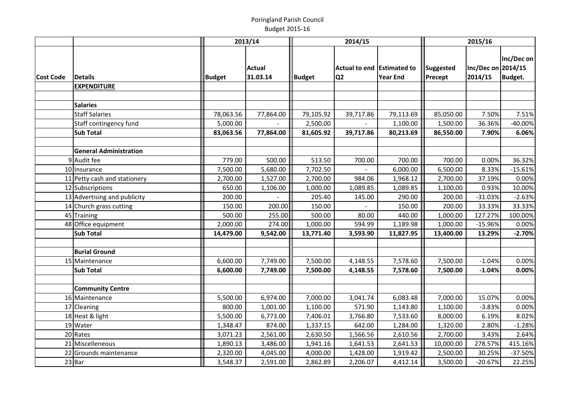## Poringland Parish CouncilBudget 2015-16

|                  |                               |               | 2013/14                   | 2014/15       |                                              |                 | 2015/16                     |                               |                              |
|------------------|-------------------------------|---------------|---------------------------|---------------|----------------------------------------------|-----------------|-----------------------------|-------------------------------|------------------------------|
| <b>Cost Code</b> | <b>Details</b>                | <b>Budget</b> | <b>Actual</b><br>31.03.14 | <b>Budget</b> | Actual to end Estimated to<br>Q <sub>2</sub> | <b>Year End</b> | <b>Suggested</b><br>Precept | Inc/Dec on 2014/15<br>2014/15 | Inc/Dec on<br><b>Budget.</b> |
|                  | <b>EXPENDITURE</b>            |               |                           |               |                                              |                 |                             |                               |                              |
|                  |                               |               |                           |               |                                              |                 |                             |                               |                              |
|                  | <b>Salaries</b>               |               |                           |               |                                              |                 |                             |                               |                              |
|                  | <b>Staff Salaries</b>         | 78,063.56     | 77,864.00                 | 79,105.92     | 39,717.86                                    | 79,113.69       | 85,050.00                   | 7.50%                         | 7.51%                        |
|                  | Staff contingency fund        | 5,000.00      |                           | 2,500.00      |                                              | 1,100.00        | 1,500.00                    | 36.36%                        | $-40.00%$                    |
|                  | <b>Sub Total</b>              | 83,063.56     | 77,864.00                 | 81,605.92     | 39,717.86                                    | 80,213.69       | 86,550.00                   | 7.90%                         | 6.06%                        |
|                  | <b>General Administration</b> |               |                           |               |                                              |                 |                             |                               |                              |
|                  | 9 Audit fee                   | 779.00        | 500.00                    | 513.50        | 700.00                                       | 700.00          | 700.00                      | 0.00%                         | 36.32%                       |
|                  | 10 Insurance                  | 7,500.00      | 5,680.00                  | 7,702.50      |                                              | 6,000.00        | 6,500.00                    | 8.33%                         | $-15.61%$                    |
|                  | 11 Petty cash and stationery  | 2,700.00      | 1,527.00                  | 2,700.00      | 984.06                                       | 1,968.12        | 2,700.00                    | 37.19%                        | 0.00%                        |
|                  | 12 Subscriptions              | 650.00        | 1,106.00                  | 1,000.00      | 1,089.85                                     | 1,089.85        | 1,100.00                    | 0.93%                         | 10.00%                       |
|                  | 13 Advertising and publicity  | 200.00        |                           | 205.40        | 145.00                                       | 290.00          | 200.00                      | $-31.03%$                     | $-2.63%$                     |
|                  | 14 Church grass cutting       | 150.00        | 200.00                    | 150.00        |                                              | 150.00          | 200.00                      | 33.33%                        | 33.33%                       |
|                  | 45 Training                   | 500.00        | 255.00                    | 500.00        | 80.00                                        | 440.00          | 1,000.00                    | 127.27%                       | 100.00%                      |
|                  | 48 Office equipment           | 2,000.00      | 274.00                    | 1,000.00      | 594.99                                       | 1,189.98        | 1,000.00                    | $-15.96%$                     | 0.00%                        |
|                  | <b>Sub Total</b>              | 14,479.00     | 9,542.00                  | 13,771.40     | 3,593.90                                     | 11,827.95       | 13,400.00                   | 13.29%                        | $-2.70%$                     |
|                  |                               |               |                           |               |                                              |                 |                             |                               |                              |
|                  | <b>Burial Ground</b>          |               |                           |               |                                              |                 |                             |                               |                              |
|                  | 15 Maintenance                | 6,600.00      | 7,749.00                  | 7,500.00      | 4,148.55                                     | 7,578.60        | 7,500.00                    | $-1.04%$                      | 0.00%                        |
|                  | <b>Sub Total</b>              | 6,600.00      | 7,749.00                  | 7,500.00      | 4,148.55                                     | 7,578.60        | 7,500.00                    | $-1.04%$                      | 0.00%                        |
|                  |                               |               |                           |               |                                              |                 |                             |                               |                              |
|                  | <b>Community Centre</b>       |               |                           |               |                                              |                 |                             |                               |                              |
|                  | 16 Maintenance                | 5,500.00      | 6,974.00                  | 7,000.00      | 3,041.74                                     | 6,083.48        | 7,000.00                    | 15.07%                        | 0.00%                        |
|                  | 17 Cleaning                   | 800.00        | 1,001.00                  | 1,100.00      | 571.90                                       | 1,143.80        | 1,100.00                    | $-3.83%$                      | 0.00%                        |
|                  | 18 Heat & light               | 5,500.00      | 6,773.00                  | 7,406.01      | 3,766.80                                     | 7,533.60        | 8,000.00                    | 6.19%                         | 8.02%                        |
|                  | 19 Water                      | 1,348.47      | 874.00                    | 1,337.15      | 642.00                                       | 1,284.00        | 1,320.00                    | 2.80%                         | $-1.28%$                     |
|                  | 20 Rates                      | 3,071.23      | 2,561.00                  | 2,630.50      | 1,566.56                                     | 2,610.56        | 2,700.00                    | 3.43%                         | 2.64%                        |
|                  | 21 Miscelleneous              | 1,890.13      | 3,486.00                  | 1,941.16      | 1,641.53                                     | 2,641.53        | 10,000.00                   | 278.57%                       | 415.16%                      |
|                  | 22 Grounds maintenance        | 2,320.00      | 4,045.00                  | 4,000.00      | 1,428.00                                     | 1,919.42        | 2,500.00                    | 30.25%                        | $-37.50%$                    |
|                  | 23 Bar                        | 3,548.37      | 2,591.00                  | 2,862.89      | 2,206.07                                     | 4,412.14        | 3,500.00                    | $-20.67%$                     | 22.25%                       |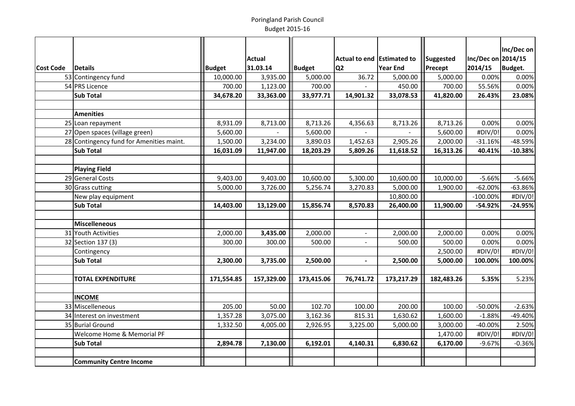## Poringland Parish CouncilBudget 2015-16

|           |                                          |               |               |               |                            |            |                |                    | Inc/Dec on     |
|-----------|------------------------------------------|---------------|---------------|---------------|----------------------------|------------|----------------|--------------------|----------------|
|           |                                          |               | <b>Actual</b> |               | Actual to end Estimated to |            | Suggested      | Inc/Dec on 2014/15 |                |
| Cost Code | <b>Details</b>                           | <b>Budget</b> | 31.03.14      | <b>Budget</b> | Q <sub>2</sub>             | Year End   | <b>Precept</b> | 2014/15            | <b>Budget.</b> |
|           | 53 Contingency fund                      | 10,000.00     | 3,935.00      | 5,000.00      | 36.72                      | 5,000.00   | 5,000.00       | 0.00%              | 0.00%          |
|           | 54 PRS Licence                           | 700.00        | 1,123.00      | 700.00        |                            | 450.00     | 700.00         | 55.56%             | 0.00%          |
|           | <b>Sub Total</b>                         | 34,678.20     | 33,363.00     | 33,977.71     | 14,901.32                  | 33,078.53  | 41,820.00      | 26.43%             | 23.08%         |
|           |                                          |               |               |               |                            |            |                |                    |                |
|           | <b>Amenities</b>                         |               |               |               |                            |            |                |                    |                |
|           | 25 Loan repayment                        | 8,931.09      | 8,713.00      | 8,713.26      | 4,356.63                   | 8,713.26   | 8,713.26       | 0.00%              | 0.00%          |
|           | 27 Open spaces (village green)           | 5,600.00      |               | 5,600.00      |                            |            | 5,600.00       | #DIV/0!            | 0.00%          |
|           | 28 Contingency fund for Amenities maint. | 1,500.00      | 3,234.00      | 3,890.03      | 1,452.63                   | 2,905.26   | 2,000.00       | $-31.16%$          | -48.59%        |
|           | <b>Sub Total</b>                         | 16,031.09     | 11,947.00     | 18,203.29     | 5,809.26                   | 11,618.52  | 16,313.26      | 40.41%             | $-10.38%$      |
|           |                                          |               |               |               |                            |            |                |                    |                |
|           | <b>Playing Field</b>                     |               |               |               |                            |            |                |                    |                |
|           | 29 General Costs                         | 9,403.00      | 9,403.00      | 10,600.00     | 5,300.00                   | 10,600.00  | 10,000.00      | $-5.66%$           | $-5.66%$       |
|           | 30 Grass cutting                         | 5,000.00      | 3,726.00      | 5,256.74      | 3,270.83                   | 5,000.00   | 1,900.00       | $-62.00%$          | $-63.86%$      |
|           | New play equipment                       |               |               |               |                            | 10,800.00  |                | $-100.00%$         | #DIV/0!        |
|           | <b>Sub Total</b>                         | 14,403.00     | 13,129.00     | 15,856.74     | 8,570.83                   | 26,400.00  | 11,900.00      | $-54.92%$          | $-24.95%$      |
|           |                                          |               |               |               |                            |            |                |                    |                |
|           | <b>Miscelleneous</b>                     |               |               |               |                            |            |                |                    |                |
|           | 31 Youth Activities                      | 2,000.00      | 3,435.00      | 2,000.00      | $\overline{\phantom{a}}$   | 2,000.00   | 2,000.00       | 0.00%              | 0.00%          |
|           | 32 Section 137 (3)                       | 300.00        | 300.00        | 500.00        |                            | 500.00     | 500.00         | 0.00%              | 0.00%          |
|           | Contingency                              |               |               |               |                            |            | 2,500.00       | #DIV/0!            | #DIV/0!        |
|           | <b>Sub Total</b>                         | 2,300.00      | 3,735.00      | 2,500.00      | $\overline{\phantom{a}}$   | 2,500.00   | 5,000.00       | 100.00%            | 100.00%        |
|           |                                          |               |               |               |                            |            |                |                    |                |
|           | <b>TOTAL EXPENDITURE</b>                 | 171,554.85    | 157,329.00    | 173,415.06    | 76,741.72                  | 173,217.29 | 182,483.26     | 5.35%              | 5.23%          |
|           |                                          |               |               |               |                            |            |                |                    |                |
|           | <b>INCOME</b>                            |               |               |               |                            |            |                |                    |                |
|           | 33 Miscelleneous                         | 205.00        | 50.00         | 102.70        | 100.00                     | 200.00     | 100.00         | $-50.00%$          | $-2.63%$       |
|           | 34 Interest on investment                | 1,357.28      | 3,075.00      | 3,162.36      | 815.31                     | 1,630.62   | 1,600.00       | $-1.88%$           | -49.40%        |
|           | 35 Burial Ground                         | 1,332.50      | 4,005.00      | 2,926.95      | 3,225.00                   | 5,000.00   | 3,000.00       | $-40.00%$          | 2.50%          |
|           | Welcome Home & Memorial PF               |               |               |               |                            |            | 1,470.00       | #DIV/0!            | #DIV/0!        |
|           | <b>Sub Total</b>                         | 2,894.78      | 7,130.00      | 6,192.01      | 4,140.31                   | 6,830.62   | 6,170.00       | $-9.67%$           | $-0.36%$       |
|           |                                          |               |               |               |                            |            |                |                    |                |
|           | <b>Community Centre Income</b>           |               |               |               |                            |            |                |                    |                |